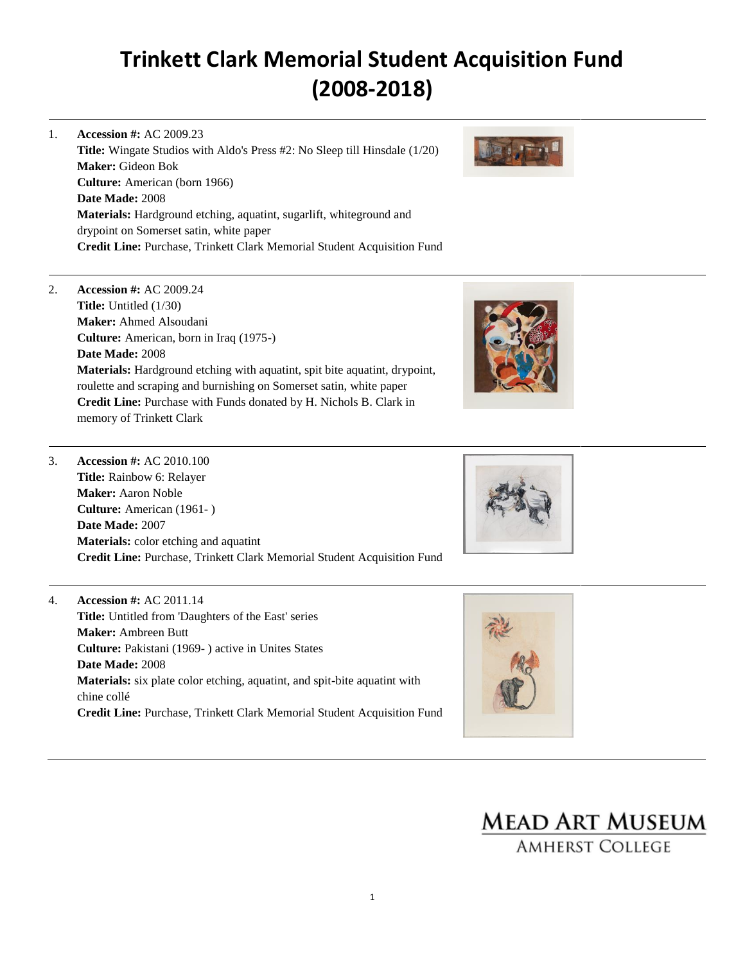- 1. **Accession #:** AC 2009.23 **Title:** Wingate Studios with Aldo's Press #2: No Sleep till Hinsdale (1/20) **Maker:** Gideon Bok **Culture:** American (born 1966) **Date Made:** 2008 **Materials:** Hardground etching, aquatint, sugarlift, whiteground and drypoint on Somerset satin, white paper **Credit Line:** Purchase, Trinkett Clark Memorial Student Acquisition Fund
- 2. **Accession #:** AC 2009.24 **Title:** Untitled (1/30) **Maker:** Ahmed Alsoudani **Culture:** American, born in Iraq (1975-) **Date Made:** 2008 **Materials:** Hardground etching with aquatint, spit bite aquatint, drypoint, roulette and scraping and burnishing on Somerset satin, white paper **Credit Line:** Purchase with Funds donated by H. Nichols B. Clark in memory of Trinkett Clark





- 3. **Accession #:** AC 2010.100 **Title:** Rainbow 6: Relayer **Maker:** Aaron Noble **Culture:** American (1961- ) **Date Made:** 2007 **Materials:** color etching and aquatint **Credit Line:** Purchase, Trinkett Clark Memorial Student Acquisition Fund
- 4. **Accession #:** AC 2011.14 **Title:** Untitled from 'Daughters of the East' series **Maker:** Ambreen Butt **Culture:** Pakistani (1969- ) active in Unites States **Date Made:** 2008 **Materials:** six plate color etching, aquatint, and spit-bite aquatint with chine collé **Credit Line:** Purchase, Trinkett Clark Memorial Student Acquisition Fund





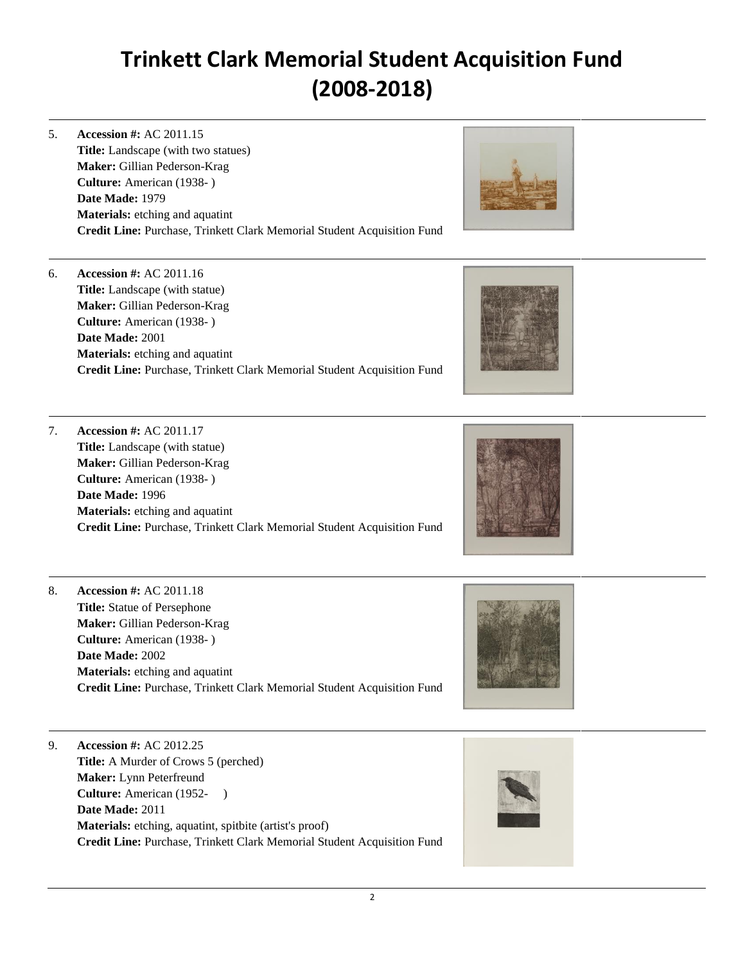5. **Accession #:** AC 2011.15 **Title:** Landscape (with two statues) **Maker:** Gillian Pederson-Krag **Culture:** American (1938- ) **Date Made:** 1979 **Materials:** etching and aquatint **Credit Line:** Purchase, Trinkett Clark Memorial Student Acquisition Fund



6. **Accession #:** AC 2011.16 **Title:** Landscape (with statue) **Maker:** Gillian Pederson-Krag **Culture:** American (1938- ) **Date Made:** 2001 **Materials:** etching and aquatint **Credit Line:** Purchase, Trinkett Clark Memorial Student Acquisition Fund



7. **Accession #:** AC 2011.17 **Title:** Landscape (with statue) **Maker:** Gillian Pederson-Krag **Culture:** American (1938- ) **Date Made:** 1996 **Materials:** etching and aquatint **Credit Line:** Purchase, Trinkett Clark Memorial Student Acquisition Fund



8. **Accession #:** AC 2011.18 **Title:** Statue of Persephone **Maker:** Gillian Pederson-Krag **Culture:** American (1938- ) **Date Made:** 2002 **Materials:** etching and aquatint **Credit Line:** Purchase, Trinkett Clark Memorial Student Acquisition Fund



9. **Accession #:** AC 2012.25 **Title:** A Murder of Crows 5 (perched) **Maker:** Lynn Peterfreund **Culture:** American (1952- ) **Date Made:** 2011 **Materials:** etching, aquatint, spitbite (artist's proof) **Credit Line:** Purchase, Trinkett Clark Memorial Student Acquisition Fund

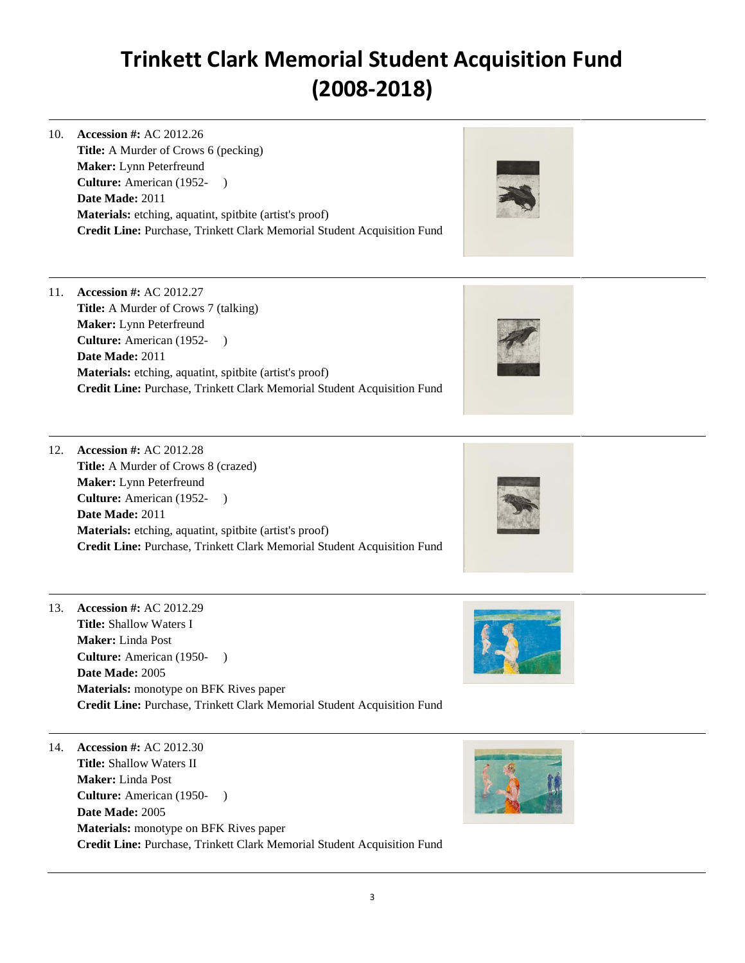10. **Accession #:** AC 2012.26 **Title:** A Murder of Crows 6 (pecking) **Maker:** Lynn Peterfreund **Culture:** American (1952- ) **Date Made:** 2011 **Materials:** etching, aquatint, spitbite (artist's proof) **Credit Line:** Purchase, Trinkett Clark Memorial Student Acquisition Fund



11. **Accession #:** AC 2012.27 **Title:** A Murder of Crows 7 (talking) **Maker:** Lynn Peterfreund **Culture:** American (1952- ) **Date Made:** 2011 **Materials:** etching, aquatint, spitbite (artist's proof) **Credit Line:** Purchase, Trinkett Clark Memorial Student Acquisition Fund



12. **Accession #:** AC 2012.28 **Title:** A Murder of Crows 8 (crazed) **Maker:** Lynn Peterfreund **Culture:** American (1952- ) **Date Made:** 2011 **Materials:** etching, aquatint, spitbite (artist's proof) **Credit Line:** Purchase, Trinkett Clark Memorial Student Acquisition Fund



13. **Accession #:** AC 2012.29 **Title:** Shallow Waters I **Maker:** Linda Post **Culture:** American (1950- ) **Date Made:** 2005 **Materials:** monotype on BFK Rives paper **Credit Line:** Purchase, Trinkett Clark Memorial Student Acquisition Fund



14. **Accession #:** AC 2012.30 **Title:** Shallow Waters II **Maker:** Linda Post **Culture:** American (1950- ) **Date Made:** 2005 **Materials:** monotype on BFK Rives paper **Credit Line:** Purchase, Trinkett Clark Memorial Student Acquisition Fund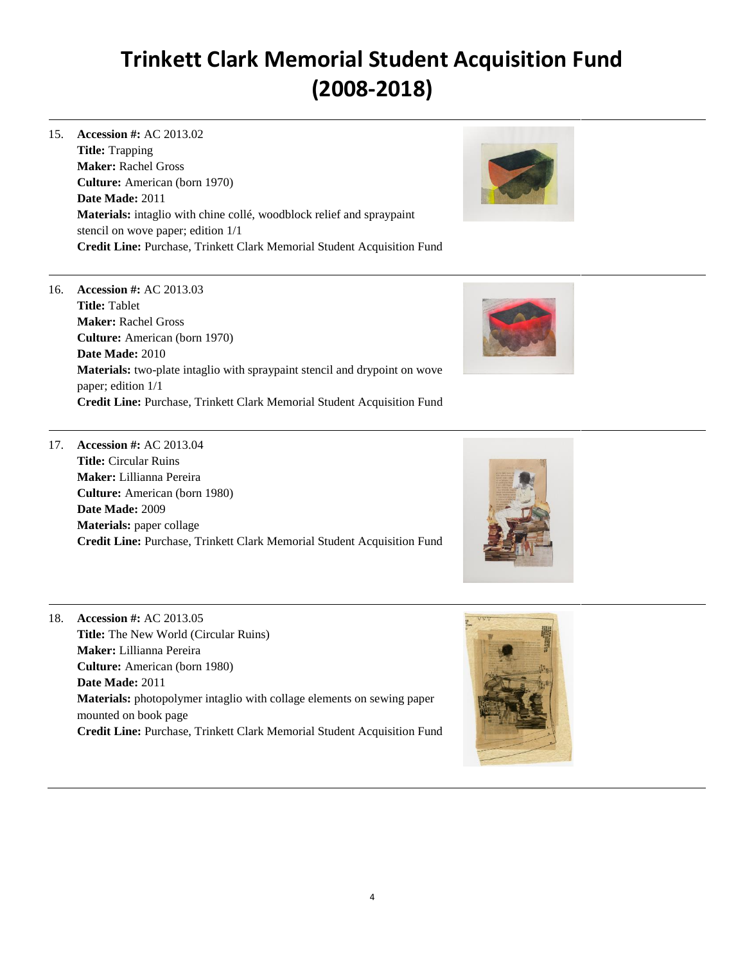15. **Accession #:** AC 2013.02 **Title:** Trapping **Maker:** Rachel Gross **Culture:** American (born 1970) **Date Made:** 2011 **Materials:** intaglio with chine collé, woodblock relief and spraypaint stencil on wove paper; edition 1/1 **Credit Line:** Purchase, Trinkett Clark Memorial Student Acquisition Fund



16. **Accession #:** AC 2013.03 **Title:** Tablet **Maker:** Rachel Gross **Culture:** American (born 1970) **Date Made:** 2010 **Materials:** two-plate intaglio with spraypaint stencil and drypoint on wove paper; edition 1/1 **Credit Line:** Purchase, Trinkett Clark Memorial Student Acquisition Fund



17. **Accession #:** AC 2013.04 **Title:** Circular Ruins **Maker:** Lillianna Pereira **Culture:** American (born 1980) **Date Made:** 2009 **Materials:** paper collage **Credit Line:** Purchase, Trinkett Clark Memorial Student Acquisition Fund



18. **Accession #:** AC 2013.05 **Title:** The New World (Circular Ruins) **Maker:** Lillianna Pereira **Culture:** American (born 1980) **Date Made:** 2011 **Materials:** photopolymer intaglio with collage elements on sewing paper mounted on book page **Credit Line:** Purchase, Trinkett Clark Memorial Student Acquisition Fund

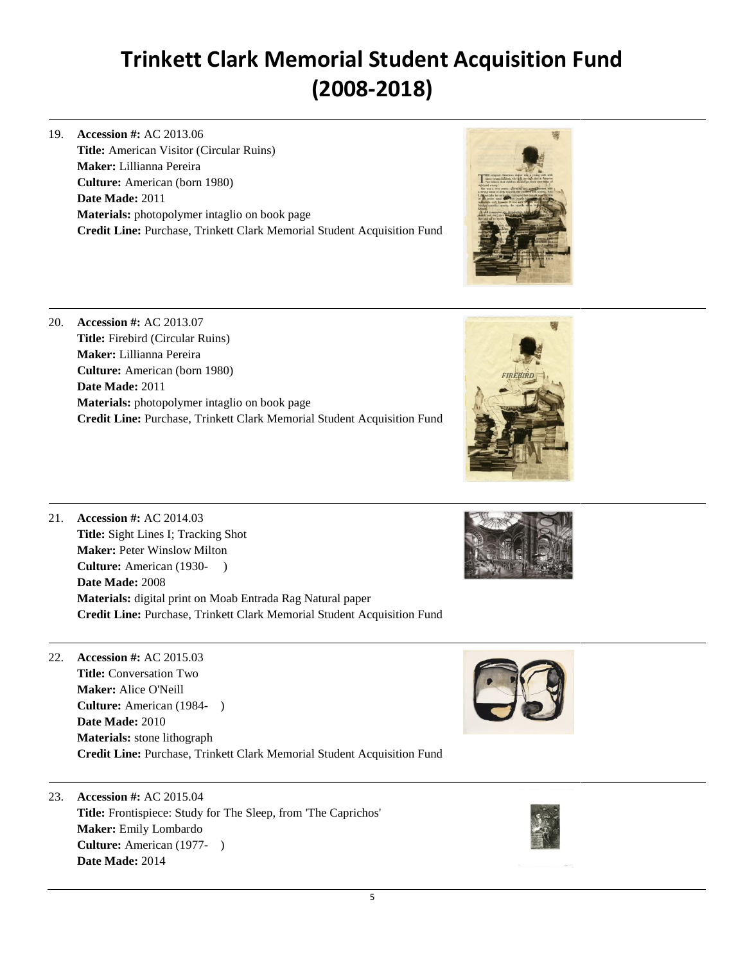19. **Accession #:** AC 2013.06 **Title:** American Visitor (Circular Ruins) **Maker:** Lillianna Pereira **Culture:** American (born 1980) **Date Made:** 2011 **Materials:** photopolymer intaglio on book page **Credit Line:** Purchase, Trinkett Clark Memorial Student Acquisition Fund



| 20. | Accession #: $AC$ 2013.07                                                      |
|-----|--------------------------------------------------------------------------------|
|     | <b>Title:</b> Firebird (Circular Ruins)                                        |
|     | <b>Maker:</b> Lillianna Pereira                                                |
|     | <b>Culture:</b> American (born 1980)                                           |
|     | Date Made: 2011                                                                |
|     | <b>Materials:</b> photopolymer intaglio on book page                           |
|     | <b>Credit Line:</b> Purchase, Trinkett Clark Memorial Student Acquisition Fund |
|     |                                                                                |



21. **Accession #:** AC 2014.03 **Title:** Sight Lines I; Tracking Shot **Maker:** Peter Winslow Milton **Culture:** American (1930- ) **Date Made:** 2008 **Materials:** digital print on Moab Entrada Rag Natural paper **Credit Line:** Purchase, Trinkett Clark Memorial Student Acquisition Fund

22. **Accession #:** AC 2015.03 **Title:** Conversation Two **Maker:** Alice O'Neill **Culture:** American (1984- ) **Date Made:** 2010 **Materials:** stone lithograph **Credit Line:** Purchase, Trinkett Clark Memorial Student Acquisition Fund



23. **Accession #:** AC 2015.04 **Title:** Frontispiece: Study for The Sleep, from 'The Caprichos' **Maker:** Emily Lombardo **Culture:** American (1977- ) **Date Made:** 2014

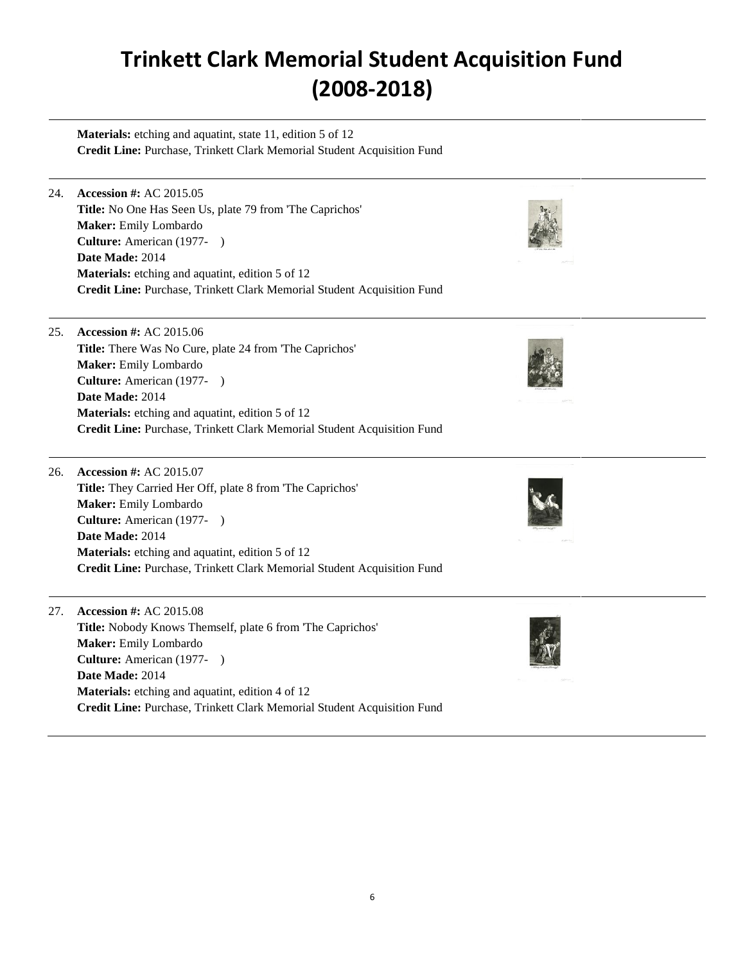Materials: etching and aquatint, state 11, edition 5 of 12 **Credit Line:** Purchase, Trinkett Clark Memorial Student Acquisition Fund

24. **Accession #:** AC 2015.05 **Title:** No One Has Seen Us, plate 79 from 'The Caprichos' **Maker:** Emily Lombardo **Culture:** American (1977- ) **Date Made:** 2014 **Materials:** etching and aquatint, edition 5 of 12 **Credit Line:** Purchase, Trinkett Clark Memorial Student Acquisition Fund

25. **Accession #:** AC 2015.06 **Title:** There Was No Cure, plate 24 from 'The Caprichos' **Maker:** Emily Lombardo **Culture:** American (1977- ) **Date Made:** 2014 **Materials:** etching and aquatint, edition 5 of 12 **Credit Line:** Purchase, Trinkett Clark Memorial Student Acquisition Fund

26. **Accession #:** AC 2015.07 **Title:** They Carried Her Off, plate 8 from 'The Caprichos' **Maker:** Emily Lombardo **Culture:** American (1977- ) **Date Made:** 2014 **Materials:** etching and aquatint, edition 5 of 12 **Credit Line:** Purchase, Trinkett Clark Memorial Student Acquisition Fund

27. **Accession #:** AC 2015.08 **Title:** Nobody Knows Themself, plate 6 from 'The Caprichos' **Maker:** Emily Lombardo **Culture:** American (1977- ) **Date Made:** 2014 **Materials:** etching and aquatint, edition 4 of 12 **Credit Line:** Purchase, Trinkett Clark Memorial Student Acquisition Fund



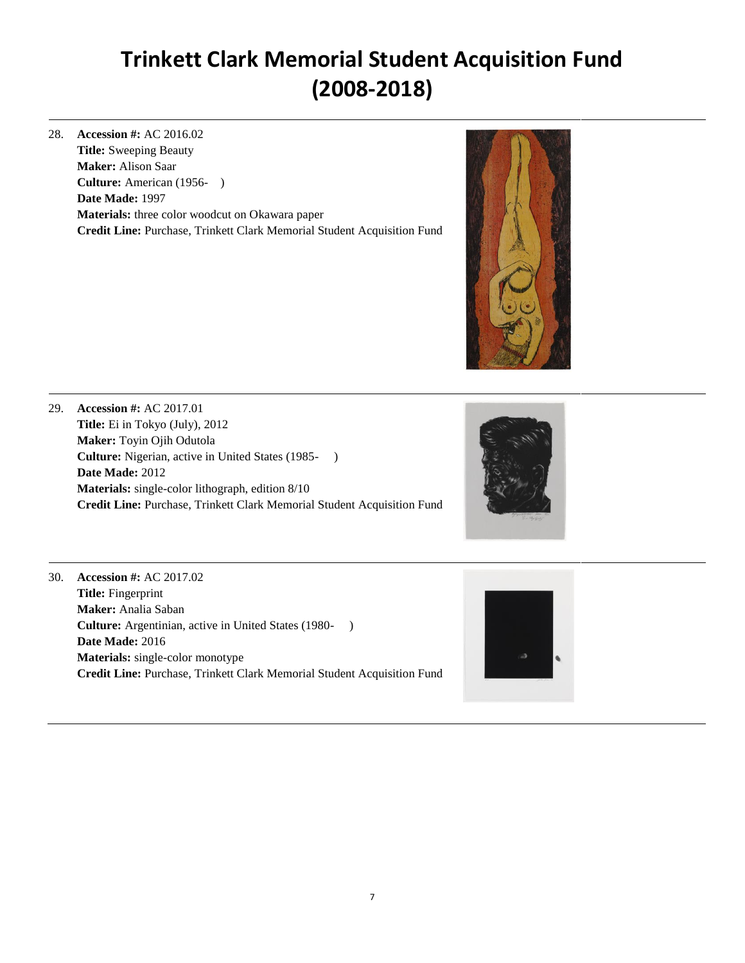28. **Accession #:** AC 2016.02 **Title:** Sweeping Beauty **Maker:** Alison Saar **Culture:** American (1956- ) **Date Made:** 1997 **Materials:** three color woodcut on Okawara paper **Credit Line:** Purchase, Trinkett Clark Memorial Student Acquisition Fund



29. **Accession #:** AC 2017.01 **Title:** Ei in Tokyo (July), 2012 **Maker:** Toyin Ojih Odutola **Culture:** Nigerian, active in United States (1985- ) **Date Made:** 2012 **Materials:** single-color lithograph, edition 8/10 **Credit Line:** Purchase, Trinkett Clark Memorial Student Acquisition Fund



30. **Accession #:** AC 2017.02 **Title:** Fingerprint **Maker:** Analia Saban **Culture:** Argentinian, active in United States (1980- ) **Date Made:** 2016 **Materials:** single-color monotype **Credit Line:** Purchase, Trinkett Clark Memorial Student Acquisition Fund